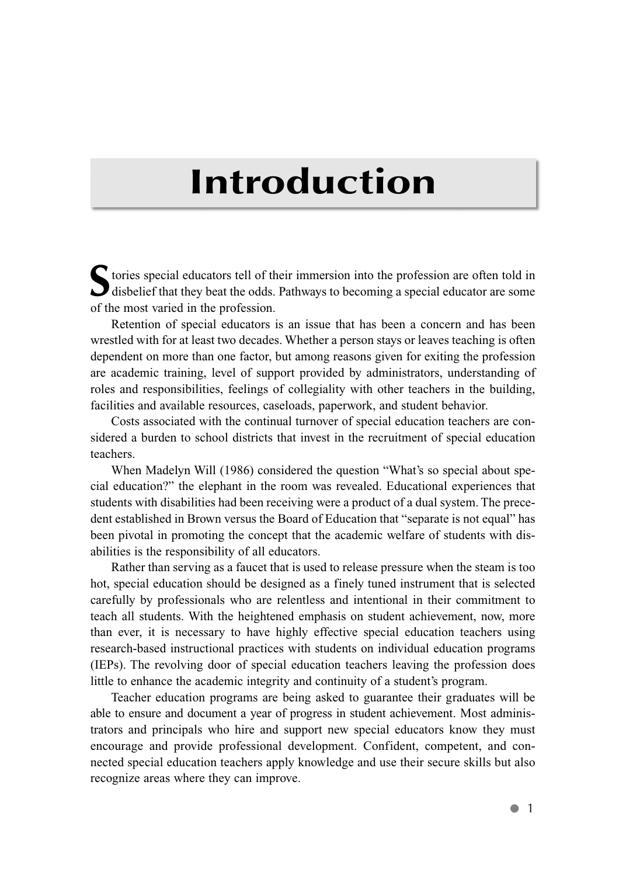## **Introduction**

**S**tories special educators tell of their immersion into the profession are often told in disbelief that they beat the odds. Pathways to becoming a special educator are some of the most varied in the profession.

Retention of special educators is an issue that has been a concern and has been wrestled with for at least two decades. Whether a person stays or leaves teaching is often dependent on more than one factor, but among reasons given for exiting the profession are academic training, level of support provided by administrators, understanding of roles and responsibilities, feelings of collegiality with other teachers in the building, facilities and available resources, caseloads, paperwork, and student behavior.

Costs associated with the continual turnover of special education teachers are considered a burden to school districts that invest in the recruitment of special education teachers.

When Madelyn Will (1986) considered the question "What's so special about special education?" the elephant in the room was revealed. Educational experiences that students with disabilities had been receiving were a product of a dual system. The precedent established in Brown versus the Board of Education that "separate is not equal" has been pivotal in promoting the concept that the academic welfare of students with disabilities is the responsibility of all educators.

Rather than serving as a faucet that is used to release pressure when the steam is too hot, special education should be designed as a finely tuned instrument that is selected carefully by professionals who are relentless and intentional in their commitment to teach all students. With the heightened emphasis on student achievement, now, more than ever, it is necessary to have highly effective special education teachers using research-based instructional practices with students on individual education programs (IEPs). The revolving door of special education teachers leaving the profession does little to enhance the academic integrity and continuity of a student's program.

Teacher education programs are being asked to guarantee their graduates will be able to ensure and document a year of progress in student achievement. Most administrators and principals who hire and support new special educators know they must encourage and provide professional development. Confident, competent, and connected special education teachers apply knowledge and use their secure skills but also recognize areas where they can improve.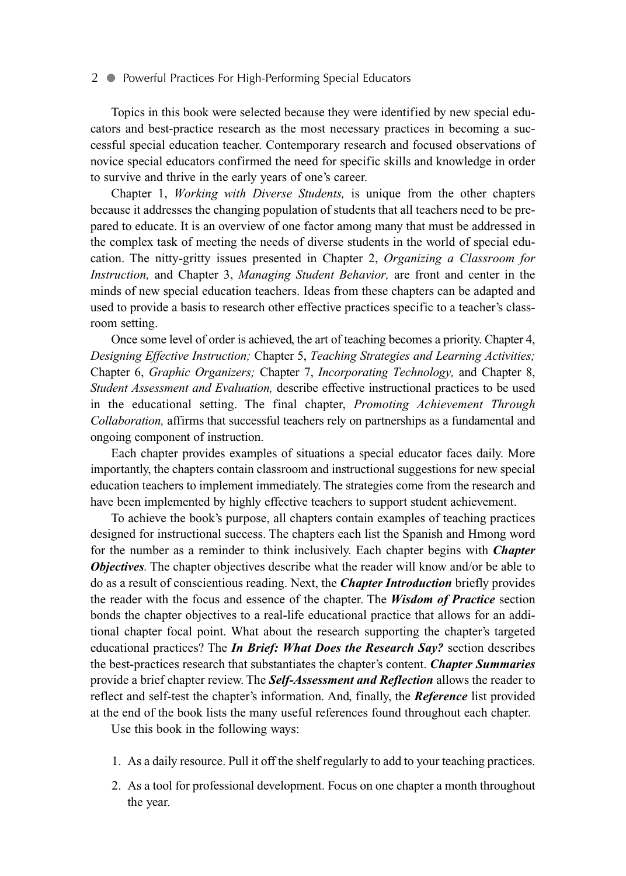## 2 ● Powerful Practices For High-Performing Special Educators

Topics in this book were selected because they were identified by new special educators and best-practice research as the most necessary practices in becoming a successful special education teacher. Contemporary research and focused observations of novice special educators confirmed the need for specific skills and knowledge in order to survive and thrive in the early years of one's career.

Chapter 1, *Working with Diverse Students,* is unique from the other chapters because it addresses the changing population of students that all teachers need to be prepared to educate. It is an overview of one factor among many that must be addressed in the complex task of meeting the needs of diverse students in the world of special education. The nitty-gritty issues presented in Chapter 2, *Organizing a Classroom for Instruction,* and Chapter 3, *Managing Student Behavior,* are front and center in the minds of new special education teachers. Ideas from these chapters can be adapted and used to provide a basis to research other effective practices specific to a teacher's classroom setting.

Once some level of order is achieved, the art of teaching becomes a priority. Chapter 4, *Designing Effective Instruction;* Chapter 5, *Teaching Strategies and Learning Activities;* Chapter 6, *Graphic Organizers;* Chapter 7, *Incorporating Technology,* and Chapter 8, *Student Assessment and Evaluation,* describe effective instructional practices to be used in the educational setting. The final chapter, *Promoting Achievement Through Collaboration,* affirms that successful teachers rely on partnerships as a fundamental and ongoing component of instruction.

Each chapter provides examples of situations a special educator faces daily. More importantly, the chapters contain classroom and instructional suggestions for new special education teachers to implement immediately. The strategies come from the research and have been implemented by highly effective teachers to support student achievement.

To achieve the book's purpose, all chapters contain examples of teaching practices designed for instructional success. The chapters each list the Spanish and Hmong word for the number as a reminder to think inclusively. Each chapter begins with *Chapter Objectives.* The chapter objectives describe what the reader will know and/or be able to do as a result of conscientious reading. Next, the *Chapter Introduction* briefly provides the reader with the focus and essence of the chapter. The *Wisdom of Practice* section bonds the chapter objectives to a real-life educational practice that allows for an additional chapter focal point. What about the research supporting the chapter's targeted educational practices? The *In Brief: What Does the Research Say?* section describes the best-practices research that substantiates the chapter's content. *Chapter Summaries* provide a brief chapter review. The *Self-Assessment and Reflection* allows the reader to reflect and self-test the chapter's information. And, finally, the *Reference* list provided at the end of the book lists the many useful references found throughout each chapter.

Use this book in the following ways:

- 1. As a daily resource. Pull it off the shelf regularly to add to your teaching practices.
- 2. As a tool for professional development. Focus on one chapter a month throughout the year.